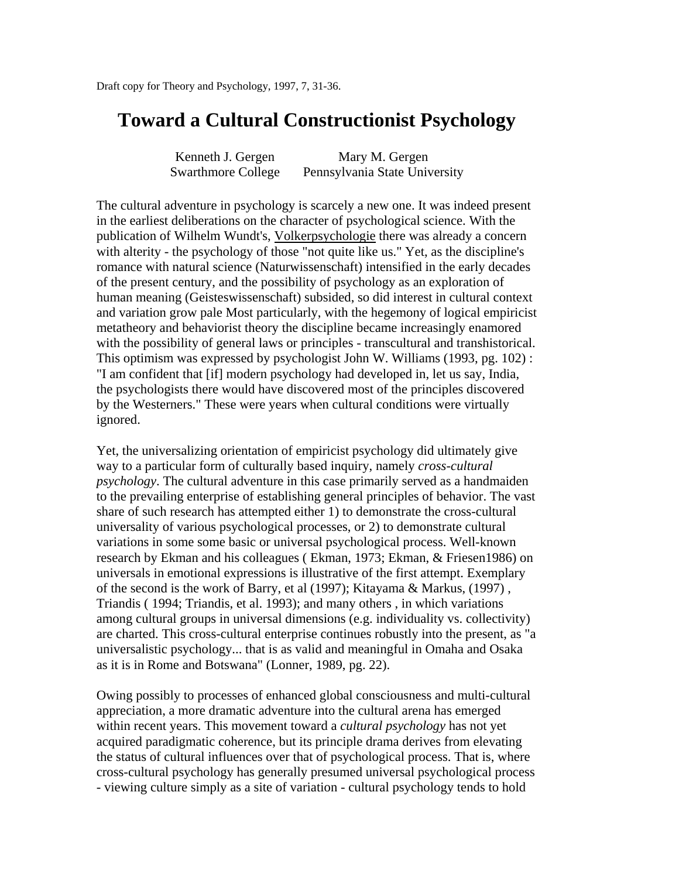# **Toward a Cultural Constructionist Psychology**

| Kenneth J. Gergen         | Mary M. Gergen                |
|---------------------------|-------------------------------|
| <b>Swarthmore College</b> | Pennsylvania State University |

The cultural adventure in psychology is scarcely a new one. It was indeed present in the earliest deliberations on the character of psychological science. With the publication of Wilhelm Wundt's, Volkerpsychologie there was already a concern with alterity - the psychology of those "not quite like us." Yet, as the discipline's romance with natural science (Naturwissenschaft) intensified in the early decades of the present century, and the possibility of psychology as an exploration of human meaning (Geisteswissenschaft) subsided, so did interest in cultural context and variation grow pale Most particularly, with the hegemony of logical empiricist metatheory and behaviorist theory the discipline became increasingly enamored with the possibility of general laws or principles - transcultural and transhistorical. This optimism was expressed by psychologist John W. Williams (1993, pg. 102) : "I am confident that [if] modern psychology had developed in, let us say, India, the psychologists there would have discovered most of the principles discovered by the Westerners." These were years when cultural conditions were virtually ignored.

Yet, the universalizing orientation of empiricist psychology did ultimately give way to a particular form of culturally based inquiry, namely *cross-cultural psychology*. The cultural adventure in this case primarily served as a handmaiden to the prevailing enterprise of establishing general principles of behavior. The vast share of such research has attempted either 1) to demonstrate the cross-cultural universality of various psychological processes, or 2) to demonstrate cultural variations in some some basic or universal psychological process. Well-known research by Ekman and his colleagues ( Ekman, 1973; Ekman, & Friesen1986) on universals in emotional expressions is illustrative of the first attempt. Exemplary of the second is the work of Barry, et al (1997); Kitayama & Markus, (1997) , Triandis ( 1994; Triandis, et al. 1993); and many others , in which variations among cultural groups in universal dimensions (e.g. individuality vs. collectivity) are charted. This cross-cultural enterprise continues robustly into the present, as "a universalistic psychology... that is as valid and meaningful in Omaha and Osaka as it is in Rome and Botswana" (Lonner, 1989, pg. 22).

Owing possibly to processes of enhanced global consciousness and multi-cultural appreciation, a more dramatic adventure into the cultural arena has emerged within recent years. This movement toward a *cultural psychology* has not yet acquired paradigmatic coherence, but its principle drama derives from elevating the status of cultural influences over that of psychological process. That is, where cross-cultural psychology has generally presumed universal psychological process - viewing culture simply as a site of variation - cultural psychology tends to hold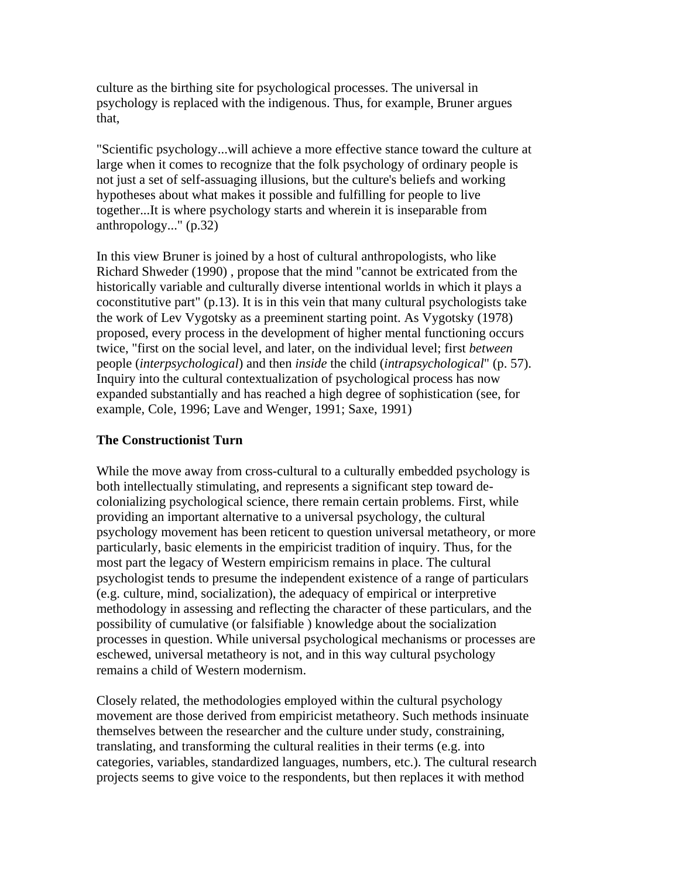culture as the birthing site for psychological processes. The universal in psychology is replaced with the indigenous. Thus, for example, Bruner argues that,

"Scientific psychology...will achieve a more effective stance toward the culture at large when it comes to recognize that the folk psychology of ordinary people is not just a set of self-assuaging illusions, but the culture's beliefs and working hypotheses about what makes it possible and fulfilling for people to live together...It is where psychology starts and wherein it is inseparable from anthropology..." (p.32)

In this view Bruner is joined by a host of cultural anthropologists, who like Richard Shweder (1990) , propose that the mind "cannot be extricated from the historically variable and culturally diverse intentional worlds in which it plays a coconstitutive part" (p.13). It is in this vein that many cultural psychologists take the work of Lev Vygotsky as a preeminent starting point. As Vygotsky (1978) proposed, every process in the development of higher mental functioning occurs twice, "first on the social level, and later, on the individual level; first *between* people (*interpsychological*) and then *inside* the child (*intrapsychological*" (p. 57). Inquiry into the cultural contextualization of psychological process has now expanded substantially and has reached a high degree of sophistication (see, for example, Cole, 1996; Lave and Wenger, 1991; Saxe, 1991)

## **The Constructionist Turn**

While the move away from cross-cultural to a culturally embedded psychology is both intellectually stimulating, and represents a significant step toward decolonializing psychological science, there remain certain problems. First, while providing an important alternative to a universal psychology, the cultural psychology movement has been reticent to question universal metatheory, or more particularly, basic elements in the empiricist tradition of inquiry. Thus, for the most part the legacy of Western empiricism remains in place. The cultural psychologist tends to presume the independent existence of a range of particulars (e.g. culture, mind, socialization), the adequacy of empirical or interpretive methodology in assessing and reflecting the character of these particulars, and the possibility of cumulative (or falsifiable ) knowledge about the socialization processes in question. While universal psychological mechanisms or processes are eschewed, universal metatheory is not, and in this way cultural psychology remains a child of Western modernism.

Closely related, the methodologies employed within the cultural psychology movement are those derived from empiricist metatheory. Such methods insinuate themselves between the researcher and the culture under study, constraining, translating, and transforming the cultural realities in their terms (e.g. into categories, variables, standardized languages, numbers, etc.). The cultural research projects seems to give voice to the respondents, but then replaces it with method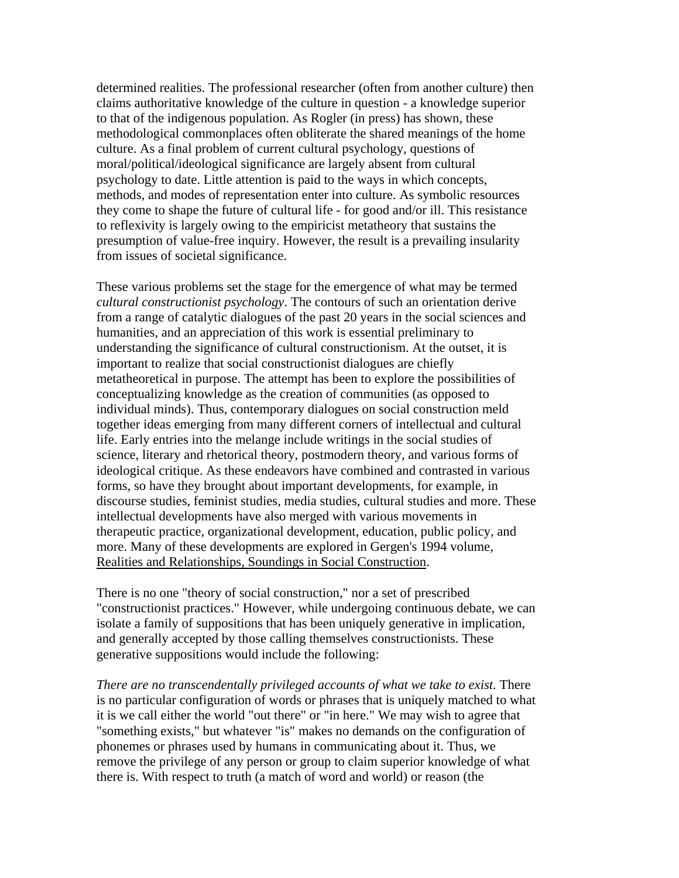determined realities. The professional researcher (often from another culture) then claims authoritative knowledge of the culture in question - a knowledge superior to that of the indigenous population. As Rogler (in press) has shown, these methodological commonplaces often obliterate the shared meanings of the home culture. As a final problem of current cultural psychology, questions of moral/political/ideological significance are largely absent from cultural psychology to date. Little attention is paid to the ways in which concepts, methods, and modes of representation enter into culture. As symbolic resources they come to shape the future of cultural life - for good and/or ill. This resistance to reflexivity is largely owing to the empiricist metatheory that sustains the presumption of value-free inquiry. However, the result is a prevailing insularity from issues of societal significance.

These various problems set the stage for the emergence of what may be termed *cultural constructionist psychology*. The contours of such an orientation derive from a range of catalytic dialogues of the past 20 years in the social sciences and humanities, and an appreciation of this work is essential preliminary to understanding the significance of cultural constructionism. At the outset, it is important to realize that social constructionist dialogues are chiefly metatheoretical in purpose. The attempt has been to explore the possibilities of conceptualizing knowledge as the creation of communities (as opposed to individual minds). Thus, contemporary dialogues on social construction meld together ideas emerging from many different corners of intellectual and cultural life. Early entries into the melange include writings in the social studies of science, literary and rhetorical theory, postmodern theory, and various forms of ideological critique. As these endeavors have combined and contrasted in various forms, so have they brought about important developments, for example, in discourse studies, feminist studies, media studies, cultural studies and more. These intellectual developments have also merged with various movements in therapeutic practice, organizational development, education, public policy, and more. Many of these developments are explored in Gergen's 1994 volume, Realities and Relationships, Soundings in Social Construction.

There is no one "theory of social construction," nor a set of prescribed "constructionist practices." However, while undergoing continuous debate, we can isolate a family of suppositions that has been uniquely generative in implication, and generally accepted by those calling themselves constructionists. These generative suppositions would include the following:

*There are no transcendentally privileged accounts of what we take to exist.* There is no particular configuration of words or phrases that is uniquely matched to what it is we call either the world "out there" or "in here." We may wish to agree that "something exists," but whatever "is" makes no demands on the configuration of phonemes or phrases used by humans in communicating about it. Thus, we remove the privilege of any person or group to claim superior knowledge of what there is. With respect to truth (a match of word and world) or reason (the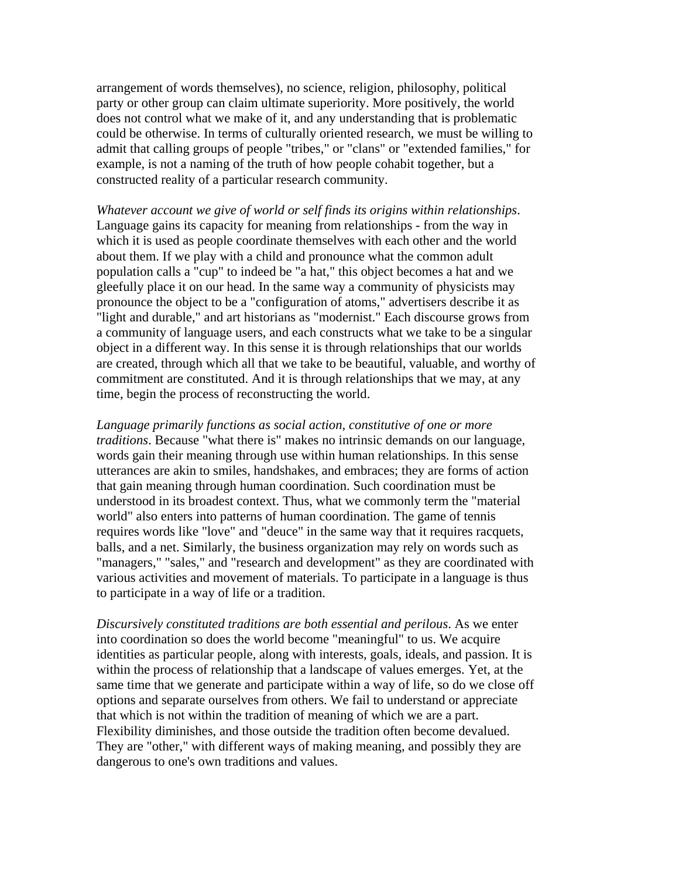arrangement of words themselves), no science, religion, philosophy, political party or other group can claim ultimate superiority. More positively, the world does not control what we make of it, and any understanding that is problematic could be otherwise. In terms of culturally oriented research, we must be willing to admit that calling groups of people "tribes," or "clans" or "extended families," for example, is not a naming of the truth of how people cohabit together, but a constructed reality of a particular research community.

*Whatever account we give of world or self finds its origins within relationships*. Language gains its capacity for meaning from relationships - from the way in which it is used as people coordinate themselves with each other and the world about them. If we play with a child and pronounce what the common adult population calls a "cup" to indeed be "a hat," this object becomes a hat and we gleefully place it on our head. In the same way a community of physicists may pronounce the object to be a "configuration of atoms," advertisers describe it as "light and durable," and art historians as "modernist." Each discourse grows from a community of language users, and each constructs what we take to be a singular object in a different way. In this sense it is through relationships that our worlds are created, through which all that we take to be beautiful, valuable, and worthy of commitment are constituted. And it is through relationships that we may, at any time, begin the process of reconstructing the world.

*Language primarily functions as social action, constitutive of one or more traditions*. Because "what there is" makes no intrinsic demands on our language, words gain their meaning through use within human relationships. In this sense utterances are akin to smiles, handshakes, and embraces; they are forms of action that gain meaning through human coordination. Such coordination must be understood in its broadest context. Thus, what we commonly term the "material world" also enters into patterns of human coordination. The game of tennis requires words like "love" and "deuce" in the same way that it requires racquets, balls, and a net. Similarly, the business organization may rely on words such as "managers," "sales," and "research and development" as they are coordinated with various activities and movement of materials. To participate in a language is thus to participate in a way of life or a tradition.

*Discursively constituted traditions are both essential and perilous*. As we enter into coordination so does the world become "meaningful" to us. We acquire identities as particular people, along with interests, goals, ideals, and passion. It is within the process of relationship that a landscape of values emerges. Yet, at the same time that we generate and participate within a way of life, so do we close off options and separate ourselves from others. We fail to understand or appreciate that which is not within the tradition of meaning of which we are a part. Flexibility diminishes, and those outside the tradition often become devalued. They are "other," with different ways of making meaning, and possibly they are dangerous to one's own traditions and values.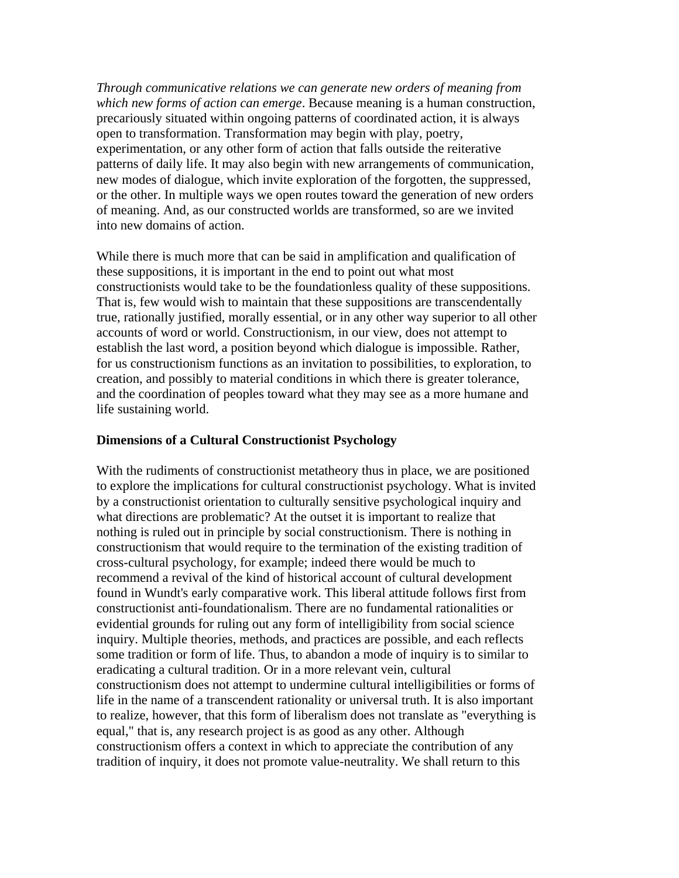*Through communicative relations we can generate new orders of meaning from which new forms of action can emerge*. Because meaning is a human construction, precariously situated within ongoing patterns of coordinated action, it is always open to transformation. Transformation may begin with play, poetry, experimentation, or any other form of action that falls outside the reiterative patterns of daily life. It may also begin with new arrangements of communication, new modes of dialogue, which invite exploration of the forgotten, the suppressed, or the other. In multiple ways we open routes toward the generation of new orders of meaning. And, as our constructed worlds are transformed, so are we invited into new domains of action.

While there is much more that can be said in amplification and qualification of these suppositions, it is important in the end to point out what most constructionists would take to be the foundationless quality of these suppositions. That is, few would wish to maintain that these suppositions are transcendentally true, rationally justified, morally essential, or in any other way superior to all other accounts of word or world. Constructionism, in our view, does not attempt to establish the last word, a position beyond which dialogue is impossible. Rather, for us constructionism functions as an invitation to possibilities, to exploration, to creation, and possibly to material conditions in which there is greater tolerance, and the coordination of peoples toward what they may see as a more humane and life sustaining world.

### **Dimensions of a Cultural Constructionist Psychology**

With the rudiments of constructionist metatheory thus in place, we are positioned to explore the implications for cultural constructionist psychology. What is invited by a constructionist orientation to culturally sensitive psychological inquiry and what directions are problematic? At the outset it is important to realize that nothing is ruled out in principle by social constructionism. There is nothing in constructionism that would require to the termination of the existing tradition of cross-cultural psychology, for example; indeed there would be much to recommend a revival of the kind of historical account of cultural development found in Wundt's early comparative work. This liberal attitude follows first from constructionist anti-foundationalism. There are no fundamental rationalities or evidential grounds for ruling out any form of intelligibility from social science inquiry. Multiple theories, methods, and practices are possible, and each reflects some tradition or form of life. Thus, to abandon a mode of inquiry is to similar to eradicating a cultural tradition. Or in a more relevant vein, cultural constructionism does not attempt to undermine cultural intelligibilities or forms of life in the name of a transcendent rationality or universal truth. It is also important to realize, however, that this form of liberalism does not translate as "everything is equal," that is, any research project is as good as any other. Although constructionism offers a context in which to appreciate the contribution of any tradition of inquiry, it does not promote value-neutrality. We shall return to this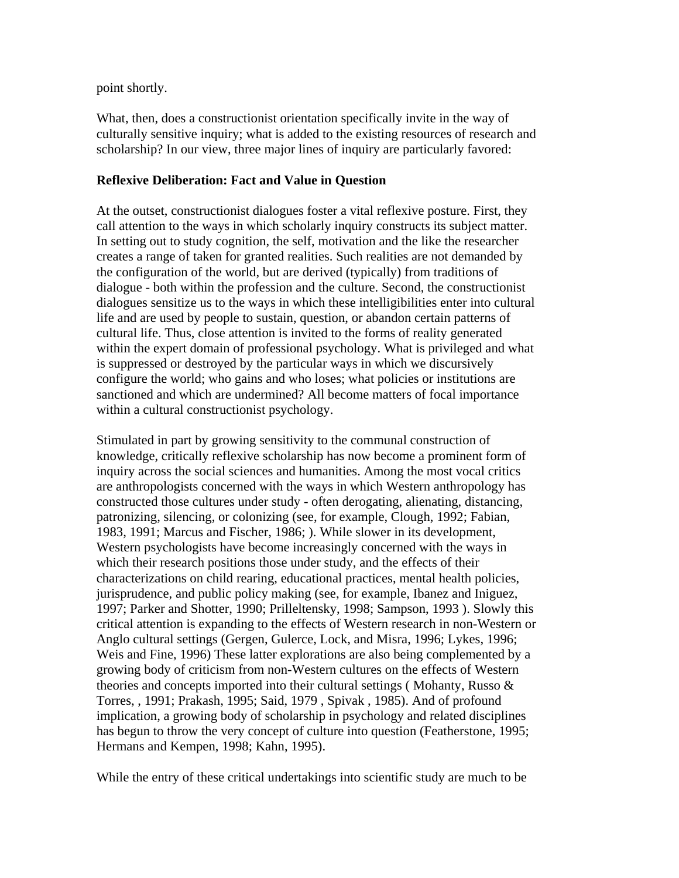point shortly.

What, then, does a constructionist orientation specifically invite in the way of culturally sensitive inquiry; what is added to the existing resources of research and scholarship? In our view, three major lines of inquiry are particularly favored:

## **Reflexive Deliberation: Fact and Value in Question**

At the outset, constructionist dialogues foster a vital reflexive posture. First, they call attention to the ways in which scholarly inquiry constructs its subject matter. In setting out to study cognition, the self, motivation and the like the researcher creates a range of taken for granted realities. Such realities are not demanded by the configuration of the world, but are derived (typically) from traditions of dialogue - both within the profession and the culture. Second, the constructionist dialogues sensitize us to the ways in which these intelligibilities enter into cultural life and are used by people to sustain, question, or abandon certain patterns of cultural life. Thus, close attention is invited to the forms of reality generated within the expert domain of professional psychology. What is privileged and what is suppressed or destroyed by the particular ways in which we discursively configure the world; who gains and who loses; what policies or institutions are sanctioned and which are undermined? All become matters of focal importance within a cultural constructionist psychology.

Stimulated in part by growing sensitivity to the communal construction of knowledge, critically reflexive scholarship has now become a prominent form of inquiry across the social sciences and humanities. Among the most vocal critics are anthropologists concerned with the ways in which Western anthropology has constructed those cultures under study - often derogating, alienating, distancing, patronizing, silencing, or colonizing (see, for example, Clough, 1992; Fabian, 1983, 1991; Marcus and Fischer, 1986; ). While slower in its development, Western psychologists have become increasingly concerned with the ways in which their research positions those under study, and the effects of their characterizations on child rearing, educational practices, mental health policies, jurisprudence, and public policy making (see, for example, Ibanez and Iniguez, 1997; Parker and Shotter, 1990; Prilleltensky, 1998; Sampson, 1993 ). Slowly this critical attention is expanding to the effects of Western research in non-Western or Anglo cultural settings (Gergen, Gulerce, Lock, and Misra, 1996; Lykes, 1996; Weis and Fine, 1996) These latter explorations are also being complemented by a growing body of criticism from non-Western cultures on the effects of Western theories and concepts imported into their cultural settings ( Mohanty, Russo & Torres, , 1991; Prakash, 1995; Said, 1979 , Spivak , 1985). And of profound implication, a growing body of scholarship in psychology and related disciplines has begun to throw the very concept of culture into question (Featherstone, 1995; Hermans and Kempen, 1998; Kahn, 1995).

While the entry of these critical undertakings into scientific study are much to be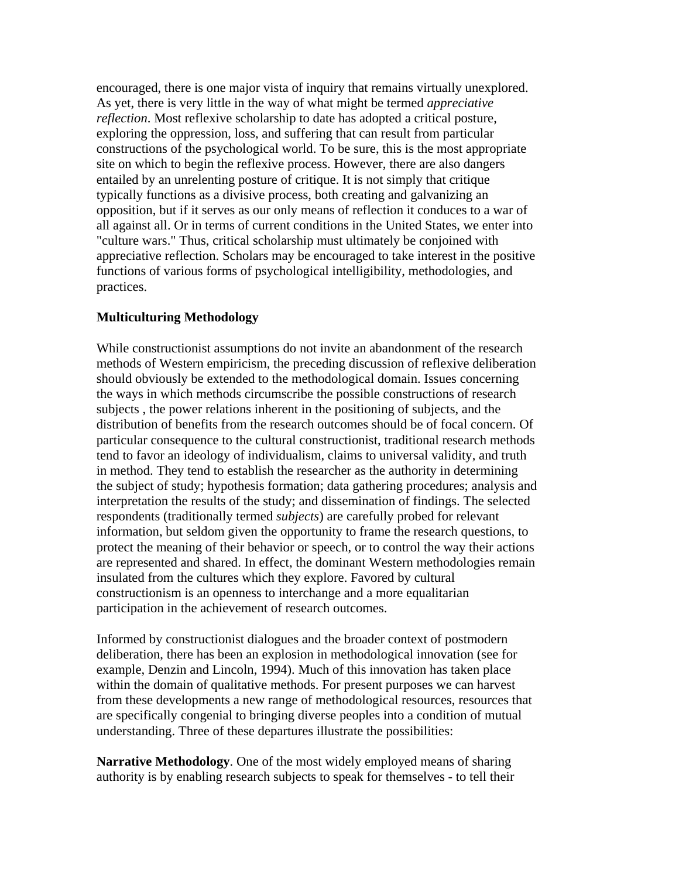encouraged, there is one major vista of inquiry that remains virtually unexplored. As yet, there is very little in the way of what might be termed *appreciative reflection*. Most reflexive scholarship to date has adopted a critical posture, exploring the oppression, loss, and suffering that can result from particular constructions of the psychological world. To be sure, this is the most appropriate site on which to begin the reflexive process. However, there are also dangers entailed by an unrelenting posture of critique. It is not simply that critique typically functions as a divisive process, both creating and galvanizing an opposition, but if it serves as our only means of reflection it conduces to a war of all against all. Or in terms of current conditions in the United States, we enter into "culture wars." Thus, critical scholarship must ultimately be conjoined with appreciative reflection. Scholars may be encouraged to take interest in the positive functions of various forms of psychological intelligibility, methodologies, and practices.

## **Multiculturing Methodology**

While constructionist assumptions do not invite an abandonment of the research methods of Western empiricism, the preceding discussion of reflexive deliberation should obviously be extended to the methodological domain. Issues concerning the ways in which methods circumscribe the possible constructions of research subjects , the power relations inherent in the positioning of subjects, and the distribution of benefits from the research outcomes should be of focal concern. Of particular consequence to the cultural constructionist, traditional research methods tend to favor an ideology of individualism, claims to universal validity, and truth in method. They tend to establish the researcher as the authority in determining the subject of study; hypothesis formation; data gathering procedures; analysis and interpretation the results of the study; and dissemination of findings. The selected respondents (traditionally termed *subjects*) are carefully probed for relevant information, but seldom given the opportunity to frame the research questions, to protect the meaning of their behavior or speech, or to control the way their actions are represented and shared. In effect, the dominant Western methodologies remain insulated from the cultures which they explore. Favored by cultural constructionism is an openness to interchange and a more equalitarian participation in the achievement of research outcomes.

Informed by constructionist dialogues and the broader context of postmodern deliberation, there has been an explosion in methodological innovation (see for example, Denzin and Lincoln, 1994). Much of this innovation has taken place within the domain of qualitative methods. For present purposes we can harvest from these developments a new range of methodological resources, resources that are specifically congenial to bringing diverse peoples into a condition of mutual understanding. Three of these departures illustrate the possibilities:

**Narrative Methodology**. One of the most widely employed means of sharing authority is by enabling research subjects to speak for themselves - to tell their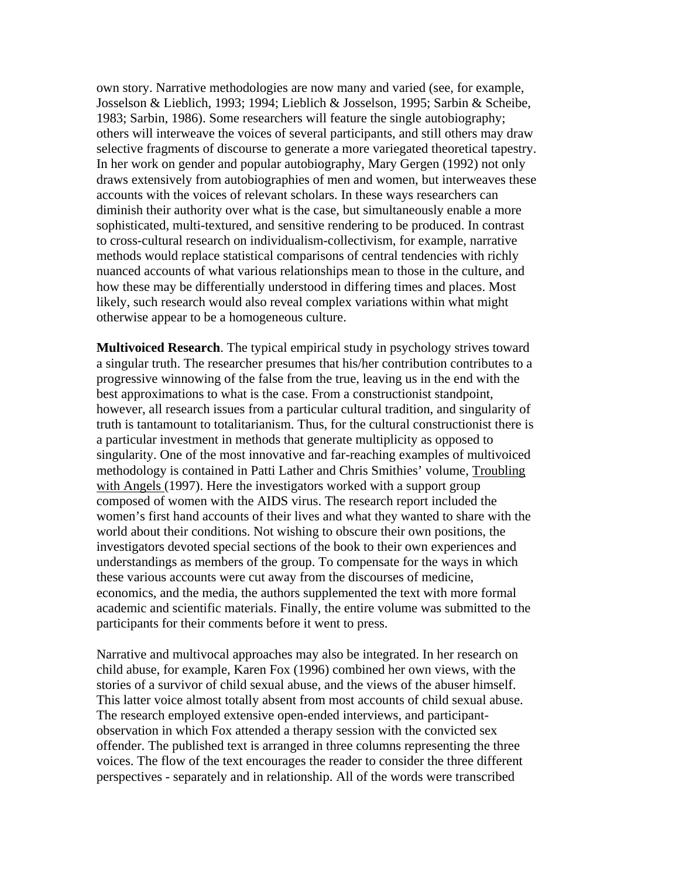own story. Narrative methodologies are now many and varied (see, for example, Josselson & Lieblich, 1993; 1994; Lieblich & Josselson, 1995; Sarbin & Scheibe, 1983; Sarbin, 1986). Some researchers will feature the single autobiography; others will interweave the voices of several participants, and still others may draw selective fragments of discourse to generate a more variegated theoretical tapestry. In her work on gender and popular autobiography, Mary Gergen (1992) not only draws extensively from autobiographies of men and women, but interweaves these accounts with the voices of relevant scholars. In these ways researchers can diminish their authority over what is the case, but simultaneously enable a more sophisticated, multi-textured, and sensitive rendering to be produced. In contrast to cross-cultural research on individualism-collectivism, for example, narrative methods would replace statistical comparisons of central tendencies with richly nuanced accounts of what various relationships mean to those in the culture, and how these may be differentially understood in differing times and places. Most likely, such research would also reveal complex variations within what might otherwise appear to be a homogeneous culture.

**Multivoiced Research**. The typical empirical study in psychology strives toward a singular truth. The researcher presumes that his/her contribution contributes to a progressive winnowing of the false from the true, leaving us in the end with the best approximations to what is the case. From a constructionist standpoint, however, all research issues from a particular cultural tradition, and singularity of truth is tantamount to totalitarianism. Thus, for the cultural constructionist there is a particular investment in methods that generate multiplicity as opposed to singularity. One of the most innovative and far-reaching examples of multivoiced methodology is contained in Patti Lather and Chris Smithies' volume, Troubling with Angels (1997). Here the investigators worked with a support group composed of women with the AIDS virus. The research report included the women's first hand accounts of their lives and what they wanted to share with the world about their conditions. Not wishing to obscure their own positions, the investigators devoted special sections of the book to their own experiences and understandings as members of the group. To compensate for the ways in which these various accounts were cut away from the discourses of medicine, economics, and the media, the authors supplemented the text with more formal academic and scientific materials. Finally, the entire volume was submitted to the participants for their comments before it went to press.

Narrative and multivocal approaches may also be integrated. In her research on child abuse, for example, Karen Fox (1996) combined her own views, with the stories of a survivor of child sexual abuse, and the views of the abuser himself. This latter voice almost totally absent from most accounts of child sexual abuse. The research employed extensive open-ended interviews, and participantobservation in which Fox attended a therapy session with the convicted sex offender. The published text is arranged in three columns representing the three voices. The flow of the text encourages the reader to consider the three different perspectives - separately and in relationship. All of the words were transcribed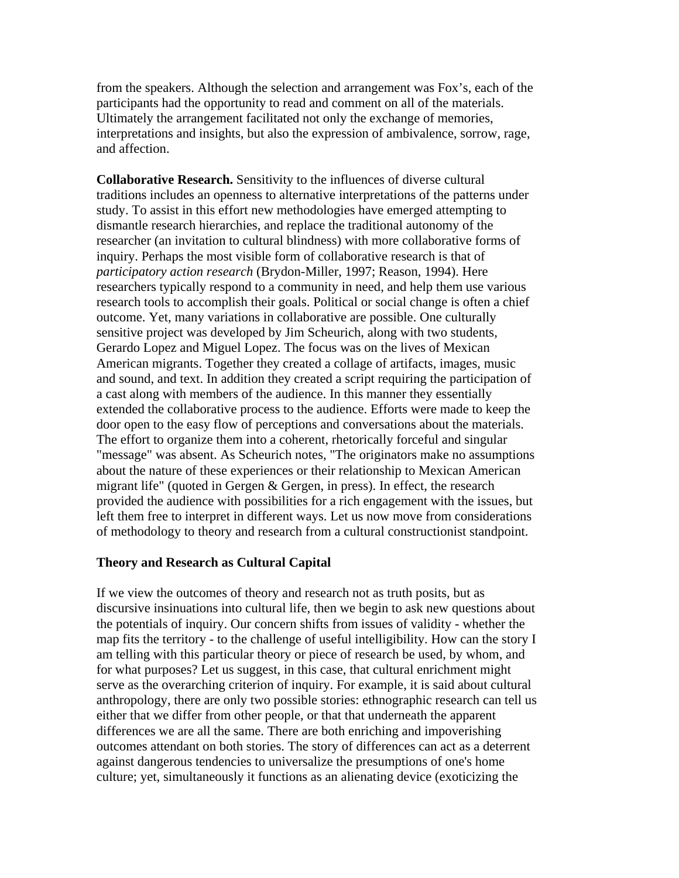from the speakers. Although the selection and arrangement was Fox's, each of the participants had the opportunity to read and comment on all of the materials. Ultimately the arrangement facilitated not only the exchange of memories, interpretations and insights, but also the expression of ambivalence, sorrow, rage, and affection.

**Collaborative Research.** Sensitivity to the influences of diverse cultural traditions includes an openness to alternative interpretations of the patterns under study. To assist in this effort new methodologies have emerged attempting to dismantle research hierarchies, and replace the traditional autonomy of the researcher (an invitation to cultural blindness) with more collaborative forms of inquiry. Perhaps the most visible form of collaborative research is that of *participatory action research* (Brydon-Miller, 1997; Reason, 1994). Here researchers typically respond to a community in need, and help them use various research tools to accomplish their goals. Political or social change is often a chief outcome. Yet, many variations in collaborative are possible. One culturally sensitive project was developed by Jim Scheurich, along with two students, Gerardo Lopez and Miguel Lopez. The focus was on the lives of Mexican American migrants. Together they created a collage of artifacts, images, music and sound, and text. In addition they created a script requiring the participation of a cast along with members of the audience. In this manner they essentially extended the collaborative process to the audience. Efforts were made to keep the door open to the easy flow of perceptions and conversations about the materials. The effort to organize them into a coherent, rhetorically forceful and singular "message" was absent. As Scheurich notes, "The originators make no assumptions about the nature of these experiences or their relationship to Mexican American migrant life" (quoted in Gergen & Gergen, in press). In effect, the research provided the audience with possibilities for a rich engagement with the issues, but left them free to interpret in different ways. Let us now move from considerations of methodology to theory and research from a cultural constructionist standpoint.

#### **Theory and Research as Cultural Capital**

If we view the outcomes of theory and research not as truth posits, but as discursive insinuations into cultural life, then we begin to ask new questions about the potentials of inquiry. Our concern shifts from issues of validity - whether the map fits the territory - to the challenge of useful intelligibility. How can the story I am telling with this particular theory or piece of research be used, by whom, and for what purposes? Let us suggest, in this case, that cultural enrichment might serve as the overarching criterion of inquiry. For example, it is said about cultural anthropology, there are only two possible stories: ethnographic research can tell us either that we differ from other people, or that that underneath the apparent differences we are all the same. There are both enriching and impoverishing outcomes attendant on both stories. The story of differences can act as a deterrent against dangerous tendencies to universalize the presumptions of one's home culture; yet, simultaneously it functions as an alienating device (exoticizing the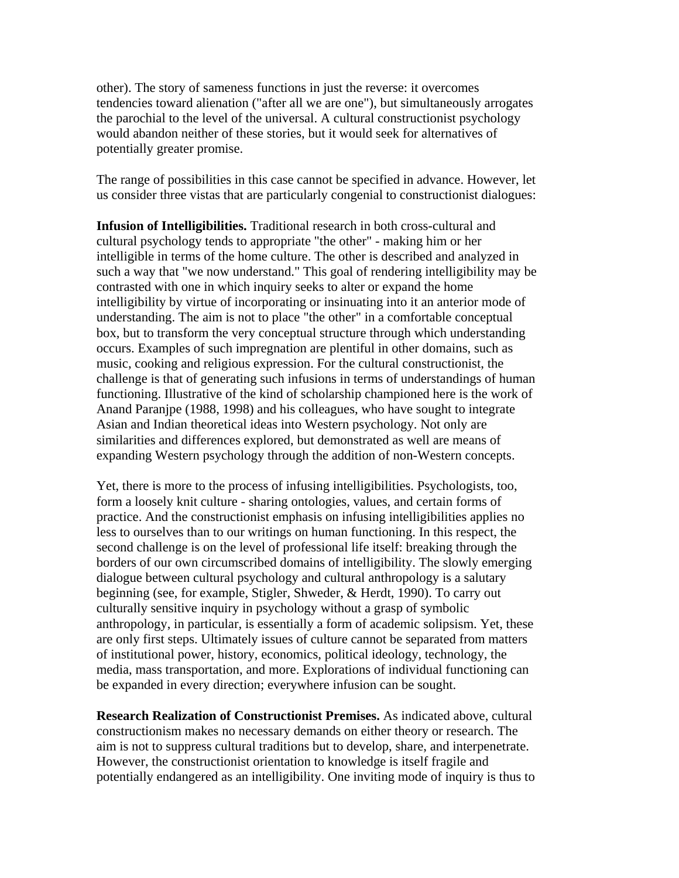other). The story of sameness functions in just the reverse: it overcomes tendencies toward alienation ("after all we are one"), but simultaneously arrogates the parochial to the level of the universal. A cultural constructionist psychology would abandon neither of these stories, but it would seek for alternatives of potentially greater promise.

The range of possibilities in this case cannot be specified in advance. However, let us consider three vistas that are particularly congenial to constructionist dialogues:

**Infusion of Intelligibilities.** Traditional research in both cross-cultural and cultural psychology tends to appropriate "the other" - making him or her intelligible in terms of the home culture. The other is described and analyzed in such a way that "we now understand." This goal of rendering intelligibility may be contrasted with one in which inquiry seeks to alter or expand the home intelligibility by virtue of incorporating or insinuating into it an anterior mode of understanding. The aim is not to place "the other" in a comfortable conceptual box, but to transform the very conceptual structure through which understanding occurs. Examples of such impregnation are plentiful in other domains, such as music, cooking and religious expression. For the cultural constructionist, the challenge is that of generating such infusions in terms of understandings of human functioning. Illustrative of the kind of scholarship championed here is the work of Anand Paranjpe (1988, 1998) and his colleagues, who have sought to integrate Asian and Indian theoretical ideas into Western psychology. Not only are similarities and differences explored, but demonstrated as well are means of expanding Western psychology through the addition of non-Western concepts.

Yet, there is more to the process of infusing intelligibilities. Psychologists, too, form a loosely knit culture - sharing ontologies, values, and certain forms of practice. And the constructionist emphasis on infusing intelligibilities applies no less to ourselves than to our writings on human functioning. In this respect, the second challenge is on the level of professional life itself: breaking through the borders of our own circumscribed domains of intelligibility. The slowly emerging dialogue between cultural psychology and cultural anthropology is a salutary beginning (see, for example, Stigler, Shweder, & Herdt, 1990). To carry out culturally sensitive inquiry in psychology without a grasp of symbolic anthropology, in particular, is essentially a form of academic solipsism. Yet, these are only first steps. Ultimately issues of culture cannot be separated from matters of institutional power, history, economics, political ideology, technology, the media, mass transportation, and more. Explorations of individual functioning can be expanded in every direction; everywhere infusion can be sought.

**Research Realization of Constructionist Premises.** As indicated above, cultural constructionism makes no necessary demands on either theory or research. The aim is not to suppress cultural traditions but to develop, share, and interpenetrate. However, the constructionist orientation to knowledge is itself fragile and potentially endangered as an intelligibility. One inviting mode of inquiry is thus to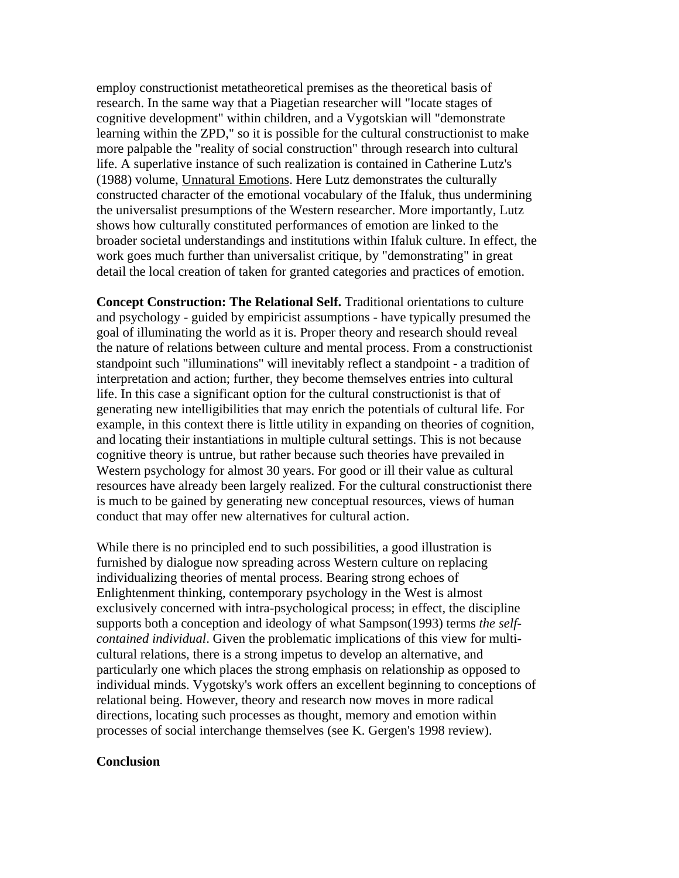employ constructionist metatheoretical premises as the theoretical basis of research. In the same way that a Piagetian researcher will "locate stages of cognitive development" within children, and a Vygotskian will "demonstrate learning within the ZPD," so it is possible for the cultural constructionist to make more palpable the "reality of social construction" through research into cultural life. A superlative instance of such realization is contained in Catherine Lutz's (1988) volume, Unnatural Emotions. Here Lutz demonstrates the culturally constructed character of the emotional vocabulary of the Ifaluk, thus undermining the universalist presumptions of the Western researcher. More importantly, Lutz shows how culturally constituted performances of emotion are linked to the broader societal understandings and institutions within Ifaluk culture. In effect, the work goes much further than universalist critique, by "demonstrating" in great detail the local creation of taken for granted categories and practices of emotion.

**Concept Construction: The Relational Self.** Traditional orientations to culture and psychology - guided by empiricist assumptions - have typically presumed the goal of illuminating the world as it is. Proper theory and research should reveal the nature of relations between culture and mental process. From a constructionist standpoint such "illuminations" will inevitably reflect a standpoint - a tradition of interpretation and action; further, they become themselves entries into cultural life. In this case a significant option for the cultural constructionist is that of generating new intelligibilities that may enrich the potentials of cultural life. For example, in this context there is little utility in expanding on theories of cognition, and locating their instantiations in multiple cultural settings. This is not because cognitive theory is untrue, but rather because such theories have prevailed in Western psychology for almost 30 years. For good or ill their value as cultural resources have already been largely realized. For the cultural constructionist there is much to be gained by generating new conceptual resources, views of human conduct that may offer new alternatives for cultural action.

While there is no principled end to such possibilities, a good illustration is furnished by dialogue now spreading across Western culture on replacing individualizing theories of mental process. Bearing strong echoes of Enlightenment thinking, contemporary psychology in the West is almost exclusively concerned with intra-psychological process; in effect, the discipline supports both a conception and ideology of what Sampson(1993) terms *the selfcontained individual*. Given the problematic implications of this view for multicultural relations, there is a strong impetus to develop an alternative, and particularly one which places the strong emphasis on relationship as opposed to individual minds. Vygotsky's work offers an excellent beginning to conceptions of relational being. However, theory and research now moves in more radical directions, locating such processes as thought, memory and emotion within processes of social interchange themselves (see K. Gergen's 1998 review).

#### **Conclusion**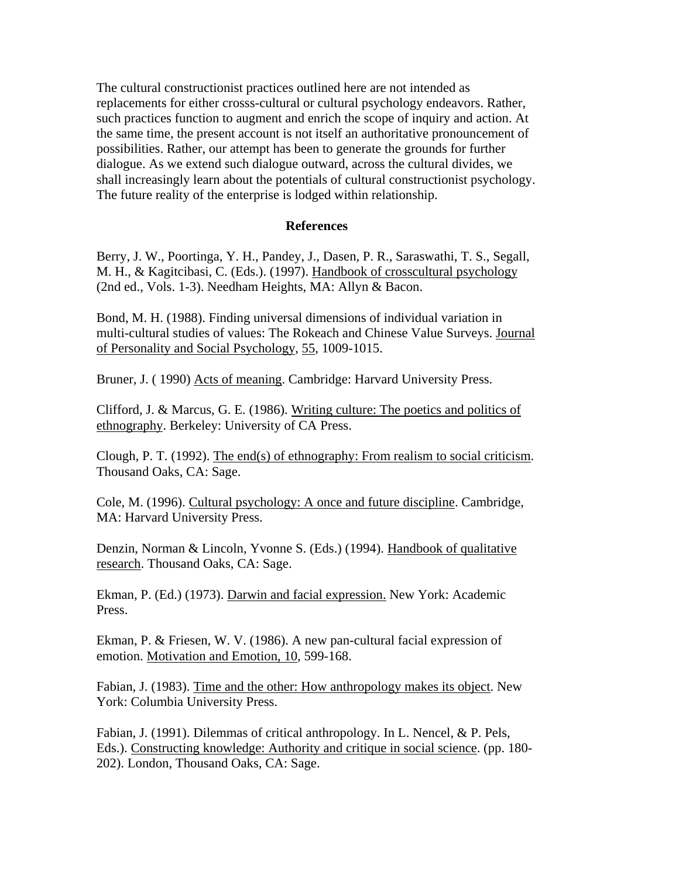The cultural constructionist practices outlined here are not intended as replacements for either crosss-cultural or cultural psychology endeavors. Rather, such practices function to augment and enrich the scope of inquiry and action. At the same time, the present account is not itself an authoritative pronouncement of possibilities. Rather, our attempt has been to generate the grounds for further dialogue. As we extend such dialogue outward, across the cultural divides, we shall increasingly learn about the potentials of cultural constructionist psychology. The future reality of the enterprise is lodged within relationship.

#### **References**

Berry, J. W., Poortinga, Y. H., Pandey, J., Dasen, P. R., Saraswathi, T. S., Segall, M. H., & Kagitcibasi, C. (Eds.). (1997). Handbook of crosscultural psychology (2nd ed., Vols. 1-3). Needham Heights, MA: Allyn & Bacon.

Bond, M. H. (1988). Finding universal dimensions of individual variation in multi-cultural studies of values: The Rokeach and Chinese Value Surveys. Journal of Personality and Social Psychology, 55, 1009-1015.

Bruner, J. ( 1990) Acts of meaning. Cambridge: Harvard University Press.

Clifford, J. & Marcus, G. E. (1986). Writing culture: The poetics and politics of ethnography. Berkeley: University of CA Press.

Clough, P. T. (1992). The end(s) of ethnography: From realism to social criticism. Thousand Oaks, CA: Sage.

Cole, M. (1996). Cultural psychology: A once and future discipline. Cambridge, MA: Harvard University Press.

Denzin, Norman & Lincoln, Yvonne S. (Eds.) (1994). Handbook of qualitative research. Thousand Oaks, CA: Sage.

Ekman, P. (Ed.) (1973). Darwin and facial expression. New York: Academic Press.

Ekman, P. & Friesen, W. V. (1986). A new pan-cultural facial expression of emotion. Motivation and Emotion, 10, 599-168.

Fabian, J. (1983). Time and the other: How anthropology makes its object. New York: Columbia University Press.

Fabian, J. (1991). Dilemmas of critical anthropology. In L. Nencel, & P. Pels, Eds.). Constructing knowledge: Authority and critique in social science. (pp. 180- 202). London, Thousand Oaks, CA: Sage.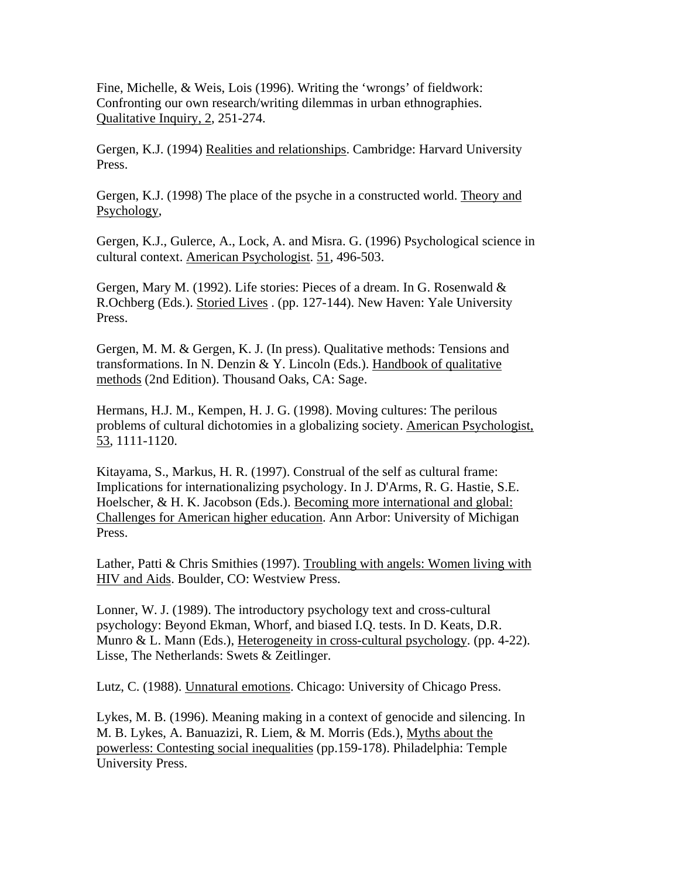Fine, Michelle, & Weis, Lois (1996). Writing the 'wrongs' of fieldwork: Confronting our own research/writing dilemmas in urban ethnographies. Qualitative Inquiry, 2, 251-274.

Gergen, K.J. (1994) Realities and relationships. Cambridge: Harvard University Press.

Gergen, K.J. (1998) The place of the psyche in a constructed world. Theory and Psychology,

Gergen, K.J., Gulerce, A., Lock, A. and Misra. G. (1996) Psychological science in cultural context. American Psychologist. 51, 496-503.

Gergen, Mary M. (1992). Life stories: Pieces of a dream. In G. Rosenwald & R.Ochberg (Eds.). Storied Lives . (pp. 127-144). New Haven: Yale University Press.

Gergen, M. M. & Gergen, K. J. (In press). Qualitative methods: Tensions and transformations. In N. Denzin & Y. Lincoln (Eds.). Handbook of qualitative methods (2nd Edition). Thousand Oaks, CA: Sage.

Hermans, H.J. M., Kempen, H. J. G. (1998). Moving cultures: The perilous problems of cultural dichotomies in a globalizing society. American Psychologist, 53, 1111-1120.

Kitayama, S., Markus, H. R. (1997). Construal of the self as cultural frame: Implications for internationalizing psychology. In J. D'Arms, R. G. Hastie, S.E. Hoelscher, & H. K. Jacobson (Eds.). <u>Becoming more international and global:</u> Challenges for American higher education. Ann Arbor: University of Michigan Press.

Lather, Patti & Chris Smithies (1997). Troubling with angels: Women living with HIV and Aids. Boulder, CO: Westview Press.

Lonner, W. J. (1989). The introductory psychology text and cross-cultural psychology: Beyond Ekman, Whorf, and biased I.Q. tests. In D. Keats, D.R. Munro & L. Mann (Eds.), Heterogeneity in cross-cultural psychology. (pp. 4-22). Lisse, The Netherlands: Swets & Zeitlinger.

Lutz, C. (1988). Unnatural emotions. Chicago: University of Chicago Press.

Lykes, M. B. (1996). Meaning making in a context of genocide and silencing. In M. B. Lykes, A. Banuazizi, R. Liem, & M. Morris (Eds.), Myths about the powerless: Contesting social inequalities (pp.159-178). Philadelphia: Temple University Press.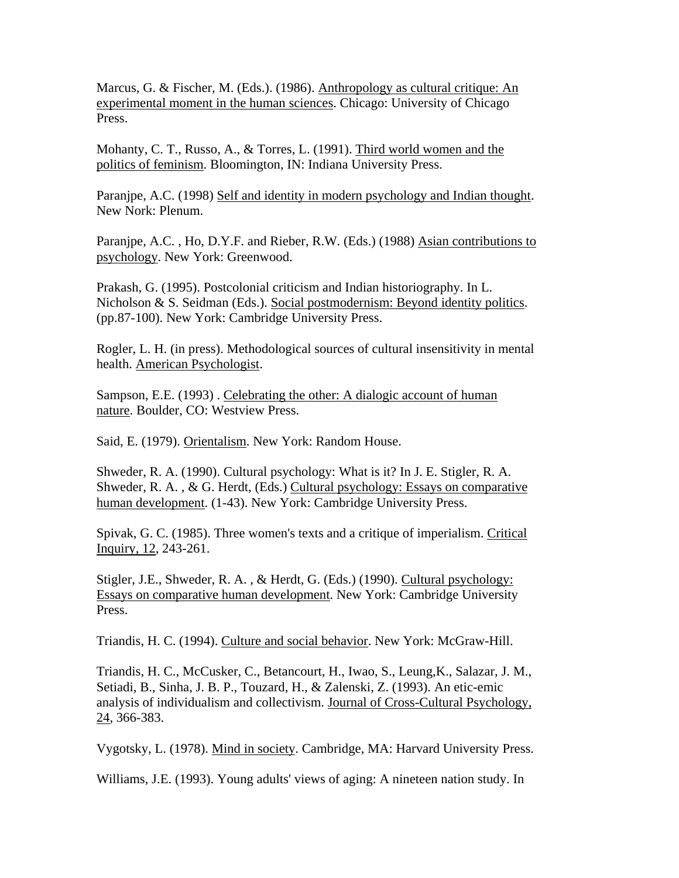Marcus, G. & Fischer, M. (Eds.). (1986). Anthropology as cultural critique: An experimental moment in the human sciences. Chicago: University of Chicago Press.

Mohanty, C. T., Russo, A., & Torres, L. (1991). Third world women and the politics of feminism. Bloomington, IN: Indiana University Press.

Paranjpe, A.C. (1998) Self and identity in modern psychology and Indian thought. New Nork: Plenum.

Paranjpe, A.C. , Ho, D.Y.F. and Rieber, R.W. (Eds.) (1988) Asian contributions to psychology. New York: Greenwood.

Prakash, G. (1995). Postcolonial criticism and Indian historiography. In L. Nicholson & S. Seidman (Eds.). Social postmodernism: Beyond identity politics. (pp.87-100). New York: Cambridge University Press.

Rogler, L. H. (in press). Methodological sources of cultural insensitivity in mental health. American Psychologist.

Sampson, E.E. (1993) . Celebrating the other: A dialogic account of human nature. Boulder, CO: Westview Press.

Said, E. (1979). Orientalism. New York: Random House.

Shweder, R. A. (1990). Cultural psychology: What is it? In J. E. Stigler, R. A. Shweder, R. A. , & G. Herdt, (Eds.) Cultural psychology: Essays on comparative human development. (1-43). New York: Cambridge University Press.

Spivak, G. C. (1985). Three women's texts and a critique of imperialism. Critical Inquiry, 12, 243-261.

Stigler, J.E., Shweder, R. A. , & Herdt, G. (Eds.) (1990). Cultural psychology: Essays on comparative human development. New York: Cambridge University Press.

Triandis, H. C. (1994). Culture and social behavior. New York: McGraw-Hill.

Triandis, H. C., McCusker, C., Betancourt, H., Iwao, S., Leung,K., Salazar, J. M., Setiadi, B., Sinha, J. B. P., Touzard, H., & Zalenski, Z. (1993). An etic-emic analysis of individualism and collectivism. Journal of Cross-Cultural Psychology, 24, 366-383.

Vygotsky, L. (1978). Mind in society. Cambridge, MA: Harvard University Press.

Williams, J.E. (1993). Young adults' views of aging: A nineteen nation study. In